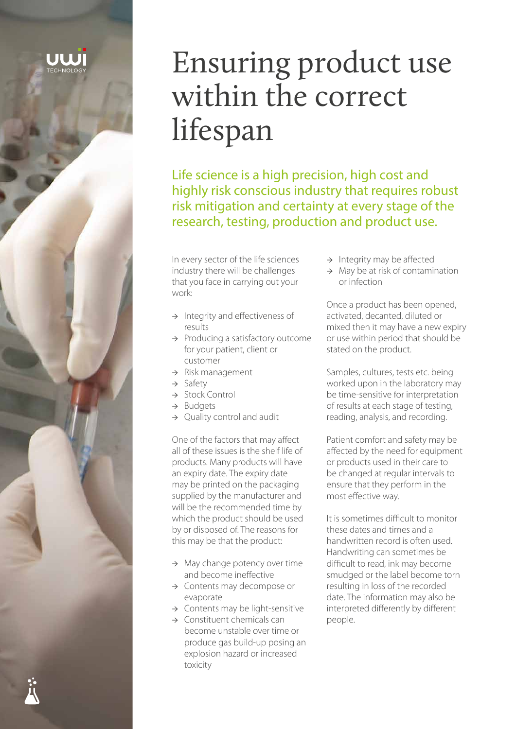# Ensuring product use within the correct lifespan

Life science is a high precision, high cost and highly risk conscious industry that requires robust risk mitigation and certainty at every stage of the research, testing, production and product use.

In every sector of the life sciences industry there will be challenges that you face in carrying out your work:

- $\rightarrow$  Integrity and effectiveness of results
- → Producing a satisfactory outcome for your patient, client or customer
- → Risk management
- → Safety
- → Stock Control
- → Budgets
- → Quality control and audit

One of the factors that may affect all of these issues is the shelf life of products. Many products will have an expiry date. The expiry date may be printed on the packaging supplied by the manufacturer and will be the recommended time by which the product should be used by or disposed of. The reasons for this may be that the product:

- $\rightarrow$  May change potency over time and become ineffective
- → Contents may decompose or evaporate
- → Contents may be light-sensitive
- $\rightarrow$  Constituent chemicals can become unstable over time or produce gas build-up posing an explosion hazard or increased toxicity
- $\rightarrow$  Integrity may be affected
- $\rightarrow$  May be at risk of contamination or infection

Once a product has been opened, activated, decanted, diluted or mixed then it may have a new expiry or use within period that should be stated on the product.

Samples, cultures, tests etc. being worked upon in the laboratory may be time-sensitive for interpretation of results at each stage of testing, reading, analysis, and recording.

Patient comfort and safety may be affected by the need for equipment or products used in their care to be changed at regular intervals to ensure that they perform in the most effective way.

It is sometimes difficult to monitor these dates and times and a handwritten record is often used. Handwriting can sometimes be difficult to read, ink may become smudged or the label become torn resulting in loss of the recorded date. The information may also be interpreted differently by different people.